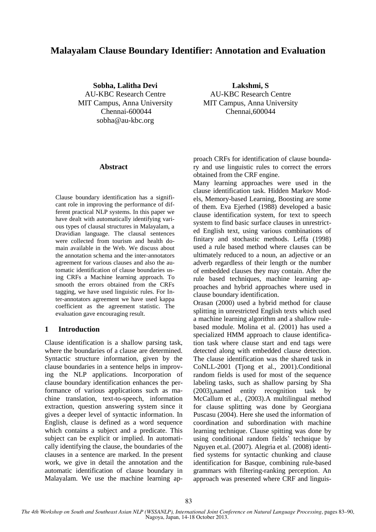# **Malayalam Clause Boundary Identifier: Annotation and Evaluation**

**Sobha, Lalitha Devi** AU-KBC Research Centre MIT Campus, Anna University Chennai-600044 sobha@au-kbc.org

**Lakshmi, S** AU-KBC Research Centre MIT Campus, Anna University Chennai,600044

#### **Abstract**

Clause boundary identification has a significant role in improving the performance of different practical NLP systems. In this paper we have dealt with automatically identifying various types of clausal structures in Malayalam, a Dravidian language. The clausal sentences were collected from tourism and health domain available in the Web. We discuss about the annotation schema and the inter-annotators agreement for various clauses and also the automatic identification of clause boundaries using CRFs a Machine learning approach. To smooth the errors obtained from the CRFs tagging, we have used linguistic rules. For Inter-annotators agreement we have used kappa coefficient as the agreement statistic. The evaluation gave encouraging result.

### **1 Introduction**

Clause identification is a shallow parsing task, where the boundaries of a clause are determined. Syntactic structure information, given by the clause boundaries in a sentence helps in improving the NLP applications. Incorporation of clause boundary identification enhances the performance of various applications such as machine translation, text-to-speech, information extraction, question answering system since it gives a deeper level of syntactic information. In English, clause is defined as a word sequence which contains a subject and a predicate. This subject can be explicit or implied. In automatically identifying the clause, the boundaries of the clauses in a sentence are marked. In the present work, we give in detail the annotation and the automatic identification of clause boundary in Malayalam. We use the machine learning approach CRFs for identification of clause boundary and use linguistic rules to correct the errors obtained from the CRF engine.

Many learning approaches were used in the clause identification task. Hidden Markov Models, Memory-based Learning, Boosting are some of them. Eva Ejerhed (1988) developed a basic clause identification system, for text to speech system to find basic surface clauses in unrestricted English text, using various combinations of finitary and stochastic methods. Leffa (1998) used a rule based method where clauses can be ultimately reduced to a noun, an adjective or an adverb regardless of their length or the number of embedded clauses they may contain. After the rule based techniques, machine learning approaches and hybrid approaches where used in clause boundary identification.

Orasan (2000) used a hybrid method for clause splitting in unrestricted English texts which used a machine learning algorithm and a shallow rulebased module. Molina et al. (2001) has used a specialized HMM approach to clause identification task where clause start and end tags were detected along with embedded clause detection. The clause identification was the shared task in CoNLL-2001 (Tjong et al., 2001).Conditional random fields is used for most of the sequence labeling tasks, such as shallow parsing by Sha (2003),named entity recognition task by McCallum et al., (2003).A multilingual method for clause splitting was done by Georgiana Puscasu (2004). Here she used the information of coordination and subordination with machine learning technique. Clause spitting was done by using conditional random fields' technique by Nguyen et.al. (2007). Alegria et al. (2008) identified systems for syntactic chunking and clause identification for Basque, combining rule-based grammars with filtering-ranking perception. An approach was presented where CRF and linguis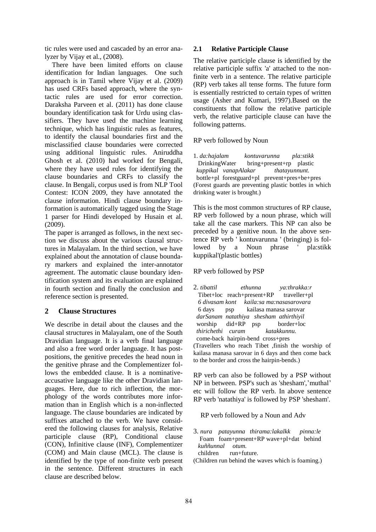tic rules were used and cascaded by an error analyzer by Vijay et al., (2008).

There have been limited efforts on clause identification for Indian languages. One such approach is in Tamil where Vijay et al. (2009) has used CRFs based approach, where the syntactic rules are used for error correction. Daraksha Parveen et al. (2011) has done clause boundary identification task for Urdu using classifiers. They have used the machine learning technique, which has linguistic rules as features, to identify the clausal boundaries first and the misclassified clause boundaries were corrected using additional linguistic rules. Aniruddha Ghosh et al. (2010) had worked for Bengali, where they have used rules for identifying the clause boundaries and CRFs to classify the clause. In Bengali, corpus used is from NLP Tool Contest: ICON 2009, they have annotated the clause information. Hindi clause boundary information is automatically tagged using the Stage 1 parser for Hindi developed by Husain et al. (2009).

The paper is arranged as follows, in the next section we discuss about the various clausal structures in Malayalam. In the third section, we have explained about the annotation of clause boundary markers and explained the inter-annotator agreement. The automatic clause boundary identification system and its evaluation are explained in fourth section and finally the conclusion and reference section is presented.

# **2 Clause Structures**

We describe in detail about the clauses and the clausal structures in Malayalam, one of the South Dravidian language. It is a verb final language and also a free word order language. It has postpositions, the genitive precedes the head noun in the genitive phrase and the Complementizer follows the embedded clause. It is a nominativeaccusative language like the other Dravidian languages. Here, due to rich inflection, the morphology of the words contributes more information than in English which is a non-inflected language. The clause boundaries are indicated by suffixes attached to the verb. We have considered the following clauses for analysis, Relative participle clause (RP), Conditional clause (CON), Infinitive clause (INF), Complementizer (COM) and Main clause (MCL). The clause is identified by the type of non-finite verb present in the sentence. Different structures in each clause are described below.

### **2.1 Relative Participle Clause**

The relative participle clause is identified by the relative participle suffix 'a' attached to the nonfinite verb in a sentence. The relative participle (RP) verb takes all tense forms. The future form is essentially restricted to certain types of written usage (Asher and Kumari, 1997).Based on the constituents that follow the relative participle verb, the relative participle clause can have the following patterns.

### RP verb followed by Noun

1. *da:hajalam kontuvarunna pla:stikk* DrinkingWater bring+present+rp plastic  *kuppikal vanapAlakar thatayunnunt.* bottle+pl forestguard+pl prevent+pres+be+pres (Forest guards are preventing plastic bottles in which drinking water is brought.)

This is the most common structures of RP clause, RP verb followed by a noun phrase, which will take all the case markers. This NP can also be preceded by a genitive noun. In the above sentence RP verb ' kontuvarunna ' (bringing) is followed by a Noun phrase ' pla:stikk kuppikal'(plastic bottles)

### RP verb followed by PSP

2. *tibattil ethunna ya:thrakka:r*  Tibet+loc reach+present+RP traveller+pl  *6 divasam kont kaila:sa ma:nasasarovara*  6 days psp kailasa manasa sarovar  *darSanam natathiya shesham athirthiyil*  worship did+RP psp border+loc  *thirichethi curam katakkunnu.* come-back hairpin-bend cross+pres (Travellers who reach Tibet ,finish the worship of kailasa manasa sarovar in 6 days and then come back to the border and cross the hairpin-bends.)

RP verb can also be followed by a PSP without NP in between. PSP's such as 'shesham','muthal' etc will follow the RP verb. In above sentence RP verb 'natathiya' is followed by PSP 'shesham'.

RP verb followed by a Noun and Adv

- 3. *nura patayunna thirama:lakalkk pinna:le*  Foam foam+present+RP wave+pl+dat behind  *kuññunnal otum.* children run+future.
- (Children run behind the waves which is foaming.)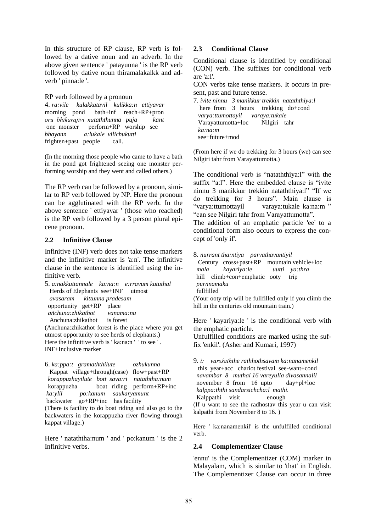In this structure of RP clause, RP verb is followed by a dative noun and an adverb. In the above given sentence ' patayunna ' is the RP verb followed by dative noun thiramalakalkk and adverb ' pinna:le '.

#### RP verb followed by a pronoun

4. *ra:vile kulakkatavil kulikka:n ettiyavar* morning pond bath+inf reach+RP+pron *oru bhīkarajīvi nataththunna puja kant*  one monster perform+RP worship see *bhayann a:lukale vilichukutti* frighten+past people call.

(In the morning those people who came to have a bath in the pond got frightened seeing one monster performing worship and they went and called others.)

The RP verb can be followed by a pronoun, similar to RP verb followed by NP. Here the pronoun can be agglutinated with the RP verb. In the above sentence ' ettiyavar ' (those who reached) is the RP verb followed by a 3 person plural epicene pronoun.

### **2.2 Infinitive Clause**

Infinitive (INF) verb does not take tense markers and the infinitive marker is 'a:n'. The infinitive clause in the sentence is identified using the infinitive verb.

5. *a:nakkuttannale ka:na:n e:rravum kututhal* Herds of Elephants see+INF utmost  *avasaram kittunna pradesam*  opportunity get+RP place  *añchuna:zhikathot vanama:nu* Anchuna:zhikathot is forest (Anchuna:zhikathot forest is the place where you get utmost opportunity to see herds of elephants.) Here the infinitive verb is ' ka:na:n ' ' to see '. INF+Inclusive marker

6. *ka:ppa:t gramaththilute ozhukunna* Kappat village+through(case) flow+past+RP  *korappuzhayilute bott sava:ri nataththa:num* korappuzha boat riding perform+RP+inc *ka:ylil po:kanum saukaryamunt* backwater go+RP+inc has facility (There is facility to do boat riding and also go to the backwaters in the korappuzha river flowing through kappat village.)

Here ' nataththa:num ' and ' po:kanum ' is the 2 Infinitive verbs.

### **2.3 Conditional Clause**

Conditional clause is identified by conditional (CON) verb. The suffixes for conditional verb are 'a:l'.

CON verbs take tense markers. It occurs in present, past and future tense.

7. *ivite ninnu 3 manikkur trekkin nataththiya:l* here from 3 hours trekking do+cond *varya:ttumottayil varaya:tukale*  Varayattumotta+loc Nilgiri tahr  *ka:na:m*  see+future+mod

(From here if we do trekking for 3 hours (we) can see Nilgiri tahr from Varayattumotta.)

The conditional verb is "nataththiya:l" with the suffix "a:l". Here the embedded clause is "ivite ninnu 3 manikkur trekkin nataththiya:l" "If we do trekking for 3 hours". Main clause is "varya:ttumottayil varaya:tukale ka:na:m " "can see Nilgiri tahr from Varayattumotta".

The addition of an emphatic particle 'ee' to a conditional form also occurs to express the concept of 'only if'.

8. *nurrant tha:ntiya parvathavantiyil* Century cross+past+RP mountain vehicle+loc *mala kayariya:le uutti ya:thra* hill climb+con+emphatic ooty trip *purnnamaku* fullfilled

(Your ooty trip will be fullfilled only if you climb the hill in the centuries old mountain train.)

Here ' kayariya:le ' is the conditional verb with the emphatic particle.

Unfulfilled conditions are marked using the suffix 'enkil'. (Asher and Kumari, 1997)

9. *i: varsśaththe rathhothsavam ka:nanamenkil* this year+acc chariot festival see-want+cond *navambar 8 muthal 16 vareyulla divasannalil* november 8 from 16 upto day+pl+loc *kalppa:ththi sandarsichcha:l mathi.* Kalppathi visit enough

(If u want to see the radhostav this year u can visit kalpathi from November 8 to 16. )

Here ' ka:nanamenkil' is the unfulfilled conditional verb.

# **2.4 Complementizer Clause**

'ennu' is the Complementizer (COM) marker in Malayalam, which is similar to 'that' in English. The Complementizer Clause can occur in three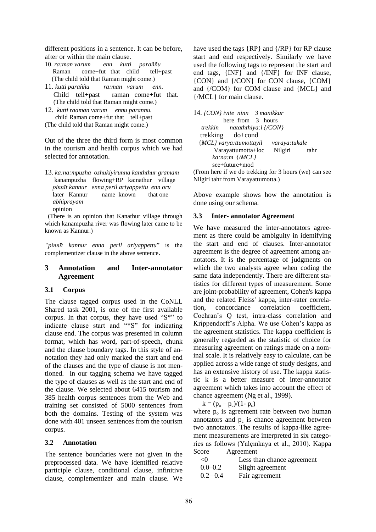different positions in a sentence. It can be before, after or within the main clause.

- 10. *ra:man varum enn kutti paraññu* Raman come+fut that child tell+past (The child told that Raman might come.)
- 11. *kutti paraññu ra:man varum enn.* Child tell+past raman come+fut that. (The child told that Raman might come.)
- 12. *kutti raaman varum ennu parannu.* child Raman come+fut that tell+past

(The child told that Raman might come.)

Out of the three the third form is most common in the tourism and health corpus which we had selected for annotation.

13. *ka:na:mpuzha ozhukiyirunna kanththur gramam* kanampuzha flowing+RP ka:nathur village *pinnīt kannur enna peril ariyappettu enn oru*  later Kannur name known that one *abhiprayam* opinion

 (There is an opinion that Kanathur village through which kanampuzha river was flowing later came to be known as Kannur.)

*"pinnīt kannur enna peril ariyappettu*" is the complementizer clause in the above sentence.

### **3 Annotation and Inter-annotator Agreement**

### **3.1 Corpus**

The clause tagged corpus used in the CoNLL Shared task 2001, is one of the first available corpus. In that corpus, they have used "S\*" to indicate clause start and "\*S" for indicating clause end. The corpus was presented in column format, which has word, part-of-speech, chunk and the clause boundary tags. In this style of annotation they had only marked the start and end of the clauses and the type of clause is not mentioned. In our tagging schema we have tagged the type of clauses as well as the start and end of the clause. We selected about 6415 tourism and 385 health corpus sentences from the Web and training set consisted of 5000 sentences from both the domains. Testing of the system was done with 401 unseen sentences from the tourism corpus.

### **3.2 Annotation**

The sentence boundaries were not given in the preprocessed data. We have identified relative participle clause, conditional clause, infinitive clause, complementizer and main clause. We have used the tags {RP} and {/RP} for RP clause start and end respectively. Similarly we have used the following tags to represent the start and end tags, {INF} and {/INF} for INF clause, {CON} and {/CON} for CON clause, {COM} and {/COM} for COM clause and {MCL} and {/MCL} for main clause.

| 14. <i>[CON]</i> ivite ninn 3 manikkur      |  |
|---------------------------------------------|--|
| here from 3 hours                           |  |
| trekkin nataththiya: $\frac{1}{\sqrt{CON}}$ |  |
| trekking do+cond                            |  |
| {MCL} varya:ttumottayil<br>varaya:tukale    |  |
| Nilgiri tahr<br>Varayattumotta+loc          |  |
| ka:na:m {/MCL}                              |  |
| see+future+mod                              |  |

(From here if we do trekking for 3 hours (we) can see Nilgiri tahr from Varayattumotta.)

Above example shows how the annotation is done using our schema.

#### **3.3 Inter- annotator Agreement**

We have measured the inter-annotators agreement as there could be ambiguity in identifying the start and end of clauses. Inter-annotator agreement is the degree of agreement among annotators. It is the percentage of judgments on which the two analysts agree when coding the same data independently. There are different statistics for different types of measurement. Some are joint-probability of agreement, Cohen's kappa and the related Fleiss' kappa, inter-rater correlation, concordance correlation coefficient, Cochran's Q test, intra-class correlation and Krippendorff's Alpha. We use Cohen's kappa as the agreement statistics. The kappa coefficient is generally regarded as the statistic of choice for measuring agreement on ratings made on a nominal scale. It is relatively easy to calculate, can be applied across a wide range of study designs, and has an extensive history of use. The kappa statistic k is a better measure of inter-annotator agreement which takes into account the effect of chance agreement (Ng et al., 1999).

 $k = (p_o - p_c)/(1-p_c)$ 

where  $p_0$  is agreement rate between two human annotators and  $p_c$  is chance agreement between two annotators. The results of kappa-like agreement measurements are interpreted in six categories as follows (Yalçınkaya et al., 2010). Kappa Score Agreement

| $\langle$ () | Less than chance agreement |
|--------------|----------------------------|
| $0.0 - 0.2$  | Slight agreement           |
| $0.2 - 0.4$  | Fair agreement             |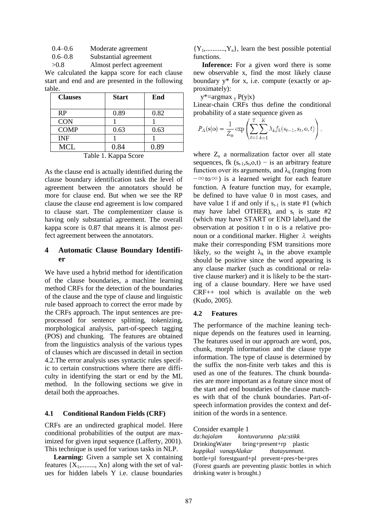0.4–0.6 Moderate agreement

0.6–0.8 Substantial agreement

>0.8 Almost perfect agreement

We calculated the kappa score for each clause start and end and are presented in the following table.

| <b>Clauses</b> | <b>Start</b> | End  |
|----------------|--------------|------|
| RP             | 0.89         | 0.82 |
| <b>CON</b>     |              |      |
| <b>COMP</b>    | 0.63         | 0.63 |
| <b>INF</b>     |              |      |
| MCL            | 0.84         | 0.89 |

Table 1. Kappa Score

As the clause end is actually identified during the clause boundary identification task the level of agreement between the annotators should be more for clause end. But when we see the RP clause the clause end agreement is low compared to clause start. The complementizer clause is having only substantial agreement. The overall kappa score is 0.87 that means it is almost perfect agreement between the annotators.

### **4 Automatic Clause Boundary Identifier**

We have used a hybrid method for identification of the clause boundaries, a machine learning method CRFs for the detection of the boundaries of the clause and the type of clause and linguistic rule based approach to correct the error made by the CRFs approach. The input sentences are preprocessed for sentence splitting, tokenizing, morphological analysis, part-of-speech tagging (POS) and chunking. The features are obtained from the linguistics analysis of the various types of clauses which are discussed in detail in section 4.2.The error analysis uses syntactic rules specific to certain constructions where there are difficulty in identifying the start or end by the ML method. In the following sections we give in detail both the approaches.

### **4.1 Conditional Random Fields (CRF)**

CRFs are an undirected graphical model. Here conditional probabilities of the output are maximized for given input sequence (Lafferty, 2001). This technique is used for various tasks in NLP.

**Learning:** Given a sample set X containing features  $\{X_1, \ldots, X_n\}$  along with the set of values for hidden labels Y i.e. clause boundaries

 ${Y_1, \ldots, Y_n}$ , learn the best possible potential functions.

 **Inference:** For a given word there is some new observable x, find the most likely clause boundary y\* for x, i.e. compute (exactly or approximately):

 $y^*$ =argmax  $_y P(y|x)$ 

Linear-chain CRFs thus define the conditional probability of a state sequence given as

$$
P_{\Lambda}(\mathbf{s}|\mathbf{o}) = \frac{1}{Z_{\mathbf{o}}}\exp\left(\sum_{t=1}^{T}\sum_{k=1}^{K}\lambda_k f_k(s_{t-1}, s_t, \mathbf{o}, t)\right),\,
$$

where  $Z_0$  a normalization factor over all state sequences, fk  $(s_{t-1}, s_t, o, t)$  – is an arbitrary feature function over its arguments, and  $\lambda_k$  (ranging from  $-\infty$ to $\infty$ ) is a learned weight for each feature function. A feature function may, for example, be defined to have value 0 in most cases, and have value 1 if and only if  $s_{t-1}$  is state #1 (which may have label OTHER), and  $s_t$  is state #2 (which may have START or END label),and the observation at position t in o is a relative pronoun or a conditional marker. Higher  $λ$  weights make their corresponding FSM transitions more likely, so the weight  $\lambda_k$  in the above example should be positive since the word appearing is any clause marker (such as conditional or relative clause marker) and it is likely to be the starting of a clause boundary. Here we have used CRF++ tool which is available on the web (Kudo, 2005).

#### **4.2 Features**

The performance of the machine leaning technique depends on the features used in learning. The features used in our approach are word, pos, chunk, morph information and the clause type information. The type of clause is determined by the suffix the non-finite verb takes and this is used as one of the features. The chunk boundaries are more important as a feature since most of the start and end boundaries of the clause matches with that of the chunk boundaries. Part-ofspeech information provides the context and definition of the words in a sentence.

Consider example 1

*da:hajalam kontuvarunna pla:stikk*  DrinkingWater bring+present+rp plastic *kuppikal vanapAlakar thatayunnunt.* bottle+pl forestguard+pl prevent+pres+be+pres (Forest guards are preventing plastic bottles in which drinking water is brought.)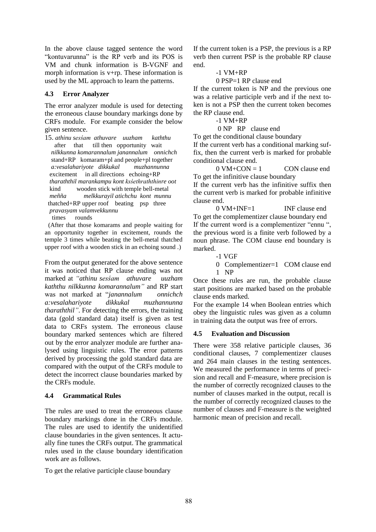In the above clause tagged sentence the word "kontuvarunna" is the RP verb and its POS is VM and chunk information is B-VGNF and morph information is v+rp. These information is used by the ML approach to learn the patterns.

### **4.3 Error Analyzer**

The error analyzer module is used for detecting the erroneous clause boundary markings done by CRFs module. For example consider the below given sentence.

15. *athinu sesśam athuvare uuzham kaththu* after that till then opportunity wait *nilkkunna komarannalum janannalum onnichch*  stand+RP komaram+pl and people+pl together  *a:vesalahariyote dikkukal muzhannunna*  excitement in all directions echoing+RP *tharaththil marankampu kont ksśethraththinre oot* kind wooden stick with temple bell-metal *meñña melkkurayil atichchu kont munnu*  thatched+RP upper roof beating psp three  *pravasyam valamvekkunnu* times rounds

 (After that those komarams and people waiting for an opportunity together in excitement, rounds the temple 3 times while beating the bell-metal thatched upper roof with a wooden stick in an echoing sound .)

From the output generated for the above sentence it was noticed that RP clause ending was not marked at *"athinu sesśam athuvare uuzham kaththu nilkkunna komarannalum"* and RP start was not marked at "*janannalum onnichch a:vesalahariyote dikkukal muzhannunna tharaththil"*. For detecting the errors, the training data (gold standard data) itself is given as test data to CRFs system. The erroneous clause boundary marked sentences which are filtered out by the error analyzer module are further analysed using linguistic rules. The error patterns derived by processing the gold standard data are compared with the output of the CRFs module to detect the incorrect clause boundaries marked by the CRFs module.

# **4.4 Grammatical Rules**

The rules are used to treat the erroneous clause boundary markings done in the CRFs module. The rules are used to identify the unidentified clause boundaries in the given sentences. It actually fine tunes the CRFs output. The grammatical rules used in the clause boundary identification work are as follows.

To get the relative participle clause boundary

If the current token is a PSP, the previous is a RP verb then current PSP is the probable RP clause end.

### $-1$  VM $+RP$

0 PSP=1 RP clause end

If the current token is NP and the previous one was a relative participle verb and if the next token is not a PSP then the current token becomes the RP clause end.

-1 VM+RP

0 NP RP clause end

To get the conditional clause boundary If the current verb has a conditional marking suffix, then the current verb is marked for probable conditional clause end.

 $0 \text{ VM} + \text{CON} = 1$  CON clause end To get the infinitive clause boundary

If the current verb has the infinitive suffix then the current verb is marked for probable infinitive clause end.

 $0 \text{ VM} + \text{INF} = 1$  INF clause end To get the complementizer clause boundary end If the current word is a complementizer "ennu ", the previous word is a finite verb followed by a noun phrase. The COM clause end boundary is marked.

- -1 VGF
- 0 Complementizer=1 COM clause end 1 NP

Once these rules are run, the probable clause start positions are marked based on the probable clause ends marked.

For the example 14 when Boolean entries which obey the linguistic rules was given as a column in training data the output was free of errors.

# **4.5 Evaluation and Discussion**

There were 358 relative participle clauses, 36 conditional clauses, 7 complementizer clauses and 264 main clauses in the testing sentences. We measured the performance in terms of precision and recall and F-measure, where precision is the number of correctly recognized clauses to the number of clauses marked in the output, recall is the number of correctly recognized clauses to the number of clauses and F-measure is the weighted harmonic mean of precision and recall.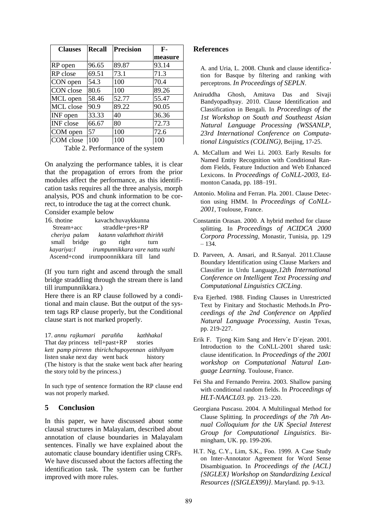| <b>Clauses</b>   | <b>Recall</b> | <b>Precision</b> | $F -$   |
|------------------|---------------|------------------|---------|
|                  |               |                  | measure |
| RP open          | 96.65         | 89.87            | 93.14   |
| RP close         | 69.51         | 73.1             | 71.3    |
| CON open         | 54.3          | 100              | 70.4    |
| CON close        | 80.6          | 100              | 89.26   |
| MCL open         | 58.46         | 52.77            | 55.47   |
| MCL close        | 90.9          | 89.22            | 90.05   |
| INF open         | 33.33         | 40               | 36.36   |
| <b>INF</b> close | 66.67         | 80               | 72.73   |
| COM open         | 57            | 100              | 72.6    |
| COM close        | 100           | 100              | 100     |

Table 2. Performance of the system

On analyzing the performance tables, it is clear that the propagation of errors from the prior modules affect the performance, as this identification tasks requires all the three analysis, morph analysis, POS and chunk information to be correct, to introduce the tag at the correct chunk. Consider example below

| 16. thotine                                |                 | kavachchuvaykkunna |                            |  |
|--------------------------------------------|-----------------|--------------------|----------------------------|--|
| Stream+acc                                 |                 | $straddle+pres+RP$ |                            |  |
| cheriya palam                              |                 |                    | katann valaththott thiriññ |  |
| small bridge                               | $\overline{20}$ | right              | turn                       |  |
| kayariya:l irumpunnikkara vare nattu vazhi |                 |                    |                            |  |
| Ascend+cond irumpoonnikkara till land      |                 |                    |                            |  |

(If you turn right and ascend through the small bridge straddling through the stream there is land till irumpunnikkara.)

Here there is an RP clause followed by a conditional and main clause. But the output of the system tags RP clause properly, but the Conditional clause start is not marked properly.

17. *annu rajkumari parañña kathhakal* That day princess tell+past+RP stories *kett pamp pirrenn thirichchupoyennan aithihyam* listen snake next day went back history (The history is that the snake went back after hearing the story told by the princess.)

In such type of sentence formation the RP clause end was not properly marked.

# **5 Conclusion**

In this paper, we have discussed about some clausal structures in Malayalam, described about annotation of clause boundaries in Malayalam sentences. Finally we have explained about the automatic clause boundary identifier using CRFs. We have discussed about the factors affecting the identification task. The system can be further improved with more rules.

### **References**

, A. and Uria, L. 2008. Chunk and clause identification for Basque by filtering and ranking with perceptrons. *In Proceedings of SEPLN*.

- Aniruddha Ghosh, Amitava Das and Sivaji Bandyopadhyay. 2010. Clause Identification and Classification in Bengali. In *Proceedings of the 1st Workshop on South and Southeast Asian Natural Language Processing (WSSANLP, 23rd International Conference on Computational Linguistics (COLING)*, Beijing, 17-25.
- A. McCallum and Wei Li. 2003. Early Results for Named Entity Recognition with Conditional Random Fields, Feature Induction and Web Enhanced Lexicons. In *Proceedings of CoNLL-2003*, Edmonton Canada, pp. 188–191.
- Antonio. Molina and Ferran. Pla. 2001. Clause Detection using HMM. In *Proceedings of CoNLL-2001*, Toulouse, France.
- Constantin Orasan. 2000. A hybrid method for clause splitting. In *Proceedings of ACIDCA 2000 Corpora Processing*, Monastir, Tunisia, pp. 129 – 134.
- D. Parveen, A. Ansari, and R.Sanyal. 2011.Clause Boundary Identification using Clause Markers and Classifier in Urdu Language,*12th International Conference on Intelligent Text Processing and Computational Linguistics CICLing*.
- Eva Ejerhed. 1988. Finding Clauses in Unrestricted Text by Finitary and Stochastic Methods.In *Proceedings of the 2nd Conference on Applied Natural Language Processing*, Austin Texas, pp. 219-227.
- Erik F. Tjong Kim Sang and Herv`e D`ejean. 2001. Introduction to the CoNLL-2001 shared task: clause identification. In *Proceedings of the 2001 workshop on Computational Natural Language Learning.* Toulouse, France.
- Fei Sha and Fernando Pereira. 2003. Shallow parsing with conditional random fields. In *Proceedings of HLT-NAACL03*. pp. 213–220.
- Georgiana Puscasu. 2004. A Multilingual Method for Clause Splitting. In *proceedings of the 7th Annual Colloquium for the UK Special Interest Group for Computational Linguistics*. Birmingham, UK. pp. 199-206.
- H.T. Ng, C.Y., Lim, S.K., Foo. 1999. A Case Study on Inter-Annotator Agreement for Word Sense Disambiguation. In *Proceedings of the {ACL} {SIGLEX} Workshop on Standardizing Lexical Resources {(SIGLEX99)}*. Maryland. pp. 9-13.